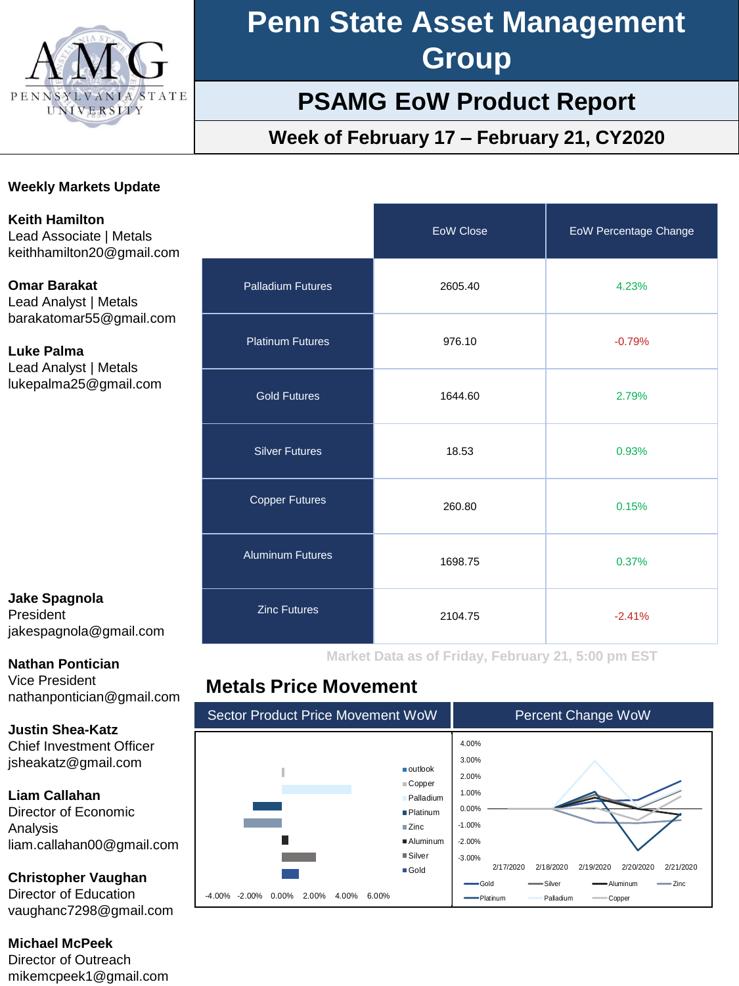

# **Penn State Asset Management Group**

## **PSAMG EoW Product Report**

## **Week of February 17 – February 21, CY2020**

#### **Weekly Markets Update**

**Keith Hamilton** Lead Associate | Metals keithhamilton20@gmail.com

**Omar Barakat** Lead Analyst | Metals barakatomar55@gmail.com

**Luke Palma** Lead Analyst | Metals lukepalma25@gmail.com

#### **Jake Spagnola** President jakespagnola@gmail.com

**Nathan Pontician**

Vice President nathanpontician@gmail.com

**Justin Shea-Katz** Chief Investment Officer jsheakatz@gmail.com

**Liam Callahan**

Director of Economic Analysis liam.callahan00@gmail.com

**Christopher Vaughan** Director of Education vaughanc7298@gmail.com

**Michael McPeek** Director of Outreach mikemcpeek1@gmail.com

|                          | <b>EoW Close</b> | <b>EoW Percentage Change</b> |
|--------------------------|------------------|------------------------------|
| <b>Palladium Futures</b> | 2605.40          | 4.23%                        |
| <b>Platinum Futures</b>  | 976.10           | $-0.79%$                     |
| <b>Gold Futures</b>      | 1644.60          | 2.79%                        |
| <b>Silver Futures</b>    | 18.53            | 0.93%                        |
| <b>Copper Futures</b>    | 260.80           | 0.15%                        |
| <b>Aluminum Futures</b>  | 1698.75          | 0.37%                        |
| <b>Zinc Futures</b>      | 2104.75          | $-2.41%$                     |

**Market Data as of Friday, February 21, 5:00 pm EST**

### **Metals Price Movement**